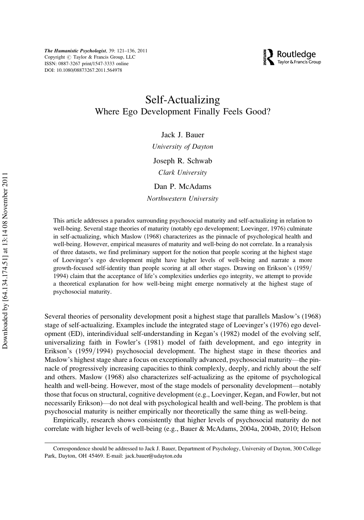

# Self-Actualizing Where Ego Development Finally Feels Good?

Jack J. Bauer

University of Dayton

Joseph R. Schwab Clark University

Dan P. McAdams

Northwestern University

This article addresses a paradox surrounding psychosocial maturity and self-actualizing in relation to well-being. Several stage theories of maturity (notably ego development; Loevinger, 1976) culminate in self-actualizing, which Maslow (1968) characterizes as the pinnacle of psychological health and well-being. However, empirical measures of maturity and well-being do not correlate. In a reanalysis of three datasets, we find preliminary support for the notion that people scoring at the highest stage of Loevinger's ego development might have higher levels of well-being and narrate a more growth-focused self-identity than people scoring at all other stages. Drawing on Erikson's (1959= 1994) claim that the acceptance of life's complexities underlies ego integrity, we attempt to provide a theoretical explanation for how well-being might emerge normatively at the highest stage of psychosocial maturity.

Several theories of personality development posit a highest stage that parallels Maslow's (1968) stage of self-actualizing. Examples include the integrated stage of Loevinger's (1976) ego development (ED), interindividual self-understanding in Kegan's (1982) model of the evolving self, universalizing faith in Fowler's (1981) model of faith development, and ego integrity in Erikson's  $(1959/1994)$  psychosocial development. The highest stage in these theories and Maslow's highest stage share a focus on exceptionally advanced, psychosocial maturity—the pinnacle of progressively increasing capacities to think complexly, deeply, and richly about the self and others. Maslow (1968) also characterizes self-actualizing as the epitome of psychological health and well-being. However, most of the stage models of personality development—notably those that focus on structural, cognitive development (e.g., Loevinger, Kegan, and Fowler, but not necessarily Erikson)—do not deal with psychological health and well-being. The problem is that psychosocial maturity is neither empirically nor theoretically the same thing as well-being.

Empirically, research shows consistently that higher levels of psychosocial maturity do not correlate with higher levels of well-being (e.g., Bauer & McAdams, 2004a, 2004b, 2010; Helson

Correspondence should be addressed to Jack J. Bauer, Department of Psychology, University of Dayton, 300 College Park, Dayton, OH 45469. E-mail: jack.bauer@udayton.edu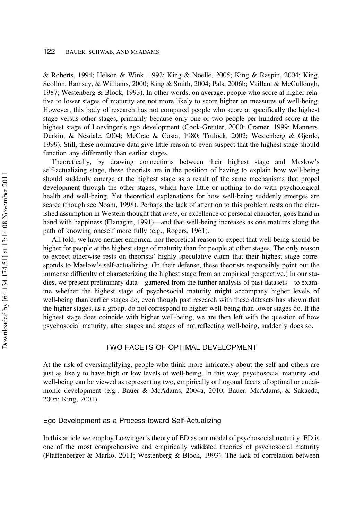& Roberts, 1994; Helson & Wink, 1992; King & Noelle, 2005; King & Raspin, 2004; King, Scollon, Ramsey, & Williams, 2000; King & Smith, 2004; Pals, 2006b; Vaillant & McCullough, 1987; Westenberg & Block, 1993). In other words, on average, people who score at higher relative to lower stages of maturity are not more likely to score higher on measures of well-being. However, this body of research has not compared people who score at specifically the highest stage versus other stages, primarily because only one or two people per hundred score at the highest stage of Loevinger's ego development (Cook-Greuter, 2000; Cramer, 1999; Manners, Durkin, & Nesdale, 2004; McCrae & Costa, 1980; Trulock, 2002; Westenberg & Gjerde, 1999). Still, these normative data give little reason to even suspect that the highest stage should function any differently than earlier stages.

Theoretically, by drawing connections between their highest stage and Maslow's self-actualizing stage, these theorists are in the position of having to explain how well-being should suddenly emerge at the highest stage as a result of the same mechanisms that propel development through the other stages, which have little or nothing to do with psychological health and well-being. Yet theoretical explanations for how well-being suddenly emerges are scarce (though see Noam, 1998). Perhaps the lack of attention to this problem rests on the cherished assumption in Western thought that *arete*, or excellence of personal character, goes hand in hand with happiness (Flanagan, 1991)—and that well-being increases as one matures along the path of knowing oneself more fully (e.g., Rogers, 1961).

All told, we have neither empirical nor theoretical reason to expect that well-being should be higher for people at the highest stage of maturity than for people at other stages. The only reason to expect otherwise rests on theorists' highly speculative claim that their highest stage corresponds to Maslow's self-actualizing. (In their defense, these theorists responsibly point out the immense difficulty of characterizing the highest stage from an empirical perspective.) In our studies, we present preliminary data—garnered from the further analysis of past datasets—to examine whether the highest stage of psychosocial maturity might accompany higher levels of well-being than earlier stages do, even though past research with these datasets has shown that the higher stages, as a group, do not correspond to higher well-being than lower stages do. If the highest stage does coincide with higher well-being, we are then left with the question of how psychosocial maturity, after stages and stages of not reflecting well-being, suddenly does so.

## TWO FACETS OF OPTIMAL DEVELOPMENT

At the risk of oversimplifying, people who think more intricately about the self and others are just as likely to have high or low levels of well-being. In this way, psychosocial maturity and well-being can be viewed as representing two, empirically orthogonal facets of optimal or eudaimonic development (e.g., Bauer & McAdams, 2004a, 2010; Bauer, McAdams, & Sakaeda, 2005; King, 2001).

#### Ego Development as a Process toward Self-Actualizing

In this article we employ Loevinger's theory of ED as our model of psychosocial maturity. ED is one of the most comprehensive and empirically validated theories of psychosocial maturity (Pfaffenberger & Marko, 2011; Westenberg & Block, 1993). The lack of correlation between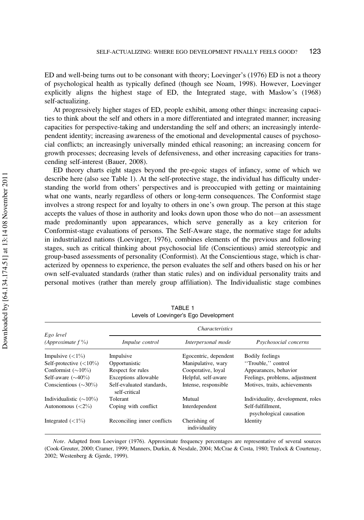ED and well-being turns out to be consonant with theory; Loevinger's (1976) ED is not a theory of psychological health as typically defined (though see Noam, 1998). However, Loevinger explicitly aligns the highest stage of ED, the Integrated stage, with Maslow's (1968) self-actualizing.

At progressively higher stages of ED, people exhibit, among other things: increasing capacities to think about the self and others in a more differentiated and integrated manner; increasing capacities for perspective-taking and understanding the self and others; an increasingly interdependent identity; increasing awareness of the emotional and developmental causes of psychosocial conflicts; an increasingly universally minded ethical reasoning; an increasing concern for growth processes; decreasing levels of defensiveness, and other increasing capacities for transcending self-interest (Bauer, 2008).

ED theory charts eight stages beyond the pre-egoic stages of infancy, some of which we describe here (also see Table 1). At the self-protective stage, the individual has difficulty understanding the world from others' perspectives and is preoccupied with getting or maintaining what one wants, nearly regardless of others or long-term consequences. The Conformist stage involves a strong respect for and loyalty to others in one's own group. The person at this stage accepts the values of those in authority and looks down upon those who do not—an assessment made predominantly upon appearances, which serve generally as a key criterion for Conformist-stage evaluations of persons. The Self-Aware stage, the normative stage for adults in industrialized nations (Loevinger, 1976), combines elements of the previous and following stages, such as critical thinking about psychosocial life (Conscientious) amid stereotypic and group-based assessments of personality (Conformist). At the Conscientious stage, which is characterized by openness to experience, the person evaluates the self and others based on his or her own self-evaluated standards (rather than static rules) and on individual personality traits and personal motives (rather than merely group affiliation). The Individualistic stage combines

| Ego level<br>(Approximate $f\%$ ) | <i>Characteristics</i>                     |                                |                                              |  |  |
|-----------------------------------|--------------------------------------------|--------------------------------|----------------------------------------------|--|--|
|                                   | Impulse control                            | Interpersonal mode             | Psychosocial concerns                        |  |  |
| Impulsive $(<1\%)$                | Impulsive                                  | Egocentric, dependent          | Bodily feelings                              |  |  |
| Self-protective $(<10\%)$         | Opportunistic                              | Manipulative, wary             | "Trouble," control                           |  |  |
| Conformist $(\sim 10\%)$          | Respect for rules                          | Cooperative, loyal             | Appearances, behavior                        |  |  |
| Self-aware $(\sim40\%)$           | Exceptions allowable                       | Helpful, self-aware            | Feelings, problems, adjustment               |  |  |
| Conscientious $(\sim 30\%)$       | Self-evaluated standards.<br>self-critical | Intense, responsible           | Motives, traits, achievements                |  |  |
| Individualistic $(\sim 10\%)$     | Tolerant                                   | Mutual                         | Individuality, development, roles            |  |  |
| Autonomous $(<2\%)$               | Coping with conflict                       | Interdependent                 | Self-fulfillment.<br>psychological causation |  |  |
| Integrated $(<1\%)$               | Reconciling inner conflicts                | Cherishing of<br>individuality | Identity                                     |  |  |

TABLE 1 Levels of Loevinger's Ego Development

Note. Adapted from Loevinger (1976). Approximate frequency percentages are representative of several sources (Cook-Greuter, 2000; Cramer, 1999; Manners, Durkin, & Nesdale, 2004; McCrae & Costa, 1980; Trulock & Courtenay, 2002; Westenberg & Gjerde, 1999).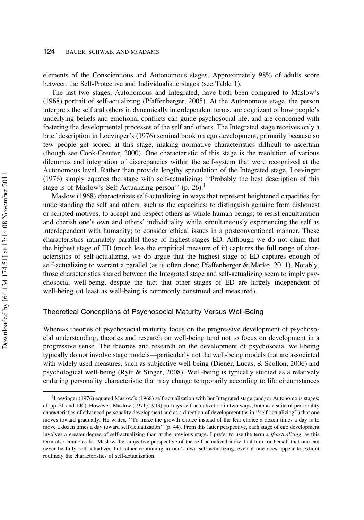elements of the Conscientious and Autonomous stages. Approximately 98% of adults score between the Self-Protective and Individualistic stages (see Table 1).

The last two stages, Autonomous and Integrated, have both been compared to Maslow's (1968) portrait of self-actualizing (Pfaffenberger, 2005). At the Autonomous stage, the person interprets the self and others in dynamically interdependent terms, are cognizant of how people's underlying beliefs and emotional conflicts can guide psychosocial life, and are concerned with fostering the developmental processes of the self and others. The Integrated stage receives only a brief description in Loevinger's (1976) seminal book on ego development, primarily because so few people get scored at this stage, making normative characteristics difficult to ascertain (though see Cook-Greuter, 2000). One characteristic of this stage is the resolution of various dilemmas and integration of discrepancies within the self-system that were recognized at the Autonomous level. Rather than provide lengthy speculation of the Integrated stage, Loevinger (1976) simply equates the stage with self-actualizing: ''Probably the best description of this stage is of Maslow's Self-Actualizing person''  $(p. 26)$ .<sup>1</sup>

Maslow (1968) characterizes self-actualizing in ways that represent heightened capacities for understanding the self and others, such as the capacities: to distinguish genuine from dishonest or scripted motives; to accept and respect others as whole human beings; to resist enculturation and cherish one's own and others' individuality while simultaneously experiencing the self as interdependent with humanity; to consider ethical issues in a postconventional manner. These characteristics intimately parallel those of highest-stages ED. Although we do not claim that the highest stage of ED (much less the empirical measure of it) captures the full range of characteristics of self-actualizing, we do argue that the highest stage of ED captures enough of self-actualizing to warrant a parallel (as is often done; Pfaffenberger & Marko, 2011). Notably, those characteristics shared between the Integrated stage and self-actualizing seem to imply psychosocial well-being, despite the fact that other stages of ED are largely independent of well-being (at least as well-being is commonly construed and measured).

# Theoretical Conceptions of Psychosocial Maturity Versus Well-Being

Whereas theories of psychosocial maturity focus on the progressive development of psychosocial understanding, theories and research on well-being tend not to focus on development in a progressive sense. The theories and research on the development of psychosocial well-being typically do not involve stage models—particularly not the well-being models that are associated with widely used measures, such as subjective well-being (Diener, Lucas, & Scollon, 2006) and psychological well-being (Ryff & Singer, 2008). Well-being is typically studied as a relatively enduring personality characteristic that may change temporarily according to life circumstances

<sup>&</sup>lt;sup>1</sup>Loevinger (1976) equated Maslow's (1968) self-actualization with her Integrated stage (and/or Autonomous stages; cf. pp. 26 and 140). However, Maslow (1971/1993) portrays self-actualization in two ways, both as a suite of personality characteristics of advanced personality development and as a direction of development (as in ''self-actualizing'') that one moves toward gradually. He writes, ''To make the growth choice instead of the fear choice a dozen times a day is to move a dozen times a day toward self-actualization'' (p. 44). From this latter perspective, each stage of ego development involves a greater degree of self-actualizing than at the previous stage. I prefer to use the term self-actualizing, as this term also connotes for Maslow the subjective perspective of the self-actualized individual him- or herself that one can never be fully self-actualized but rather continuing in one's own self-actualizing, even if one does appear to exhibit routinely the characteristics of self-actualization.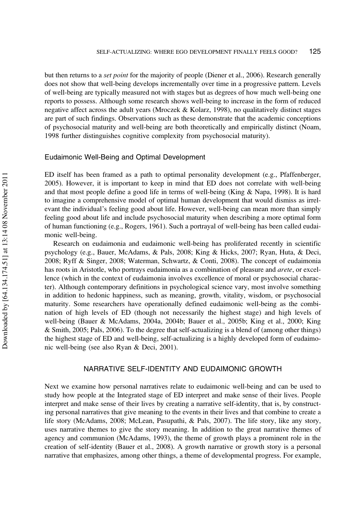but then returns to a *set point* for the majority of people (Diener et al., 2006). Research generally does not show that well-being develops incrementally over time in a progressive pattern. Levels of well-being are typically measured not with stages but as degrees of how much well-being one reports to possess. Although some research shows well-being to increase in the form of reduced negative affect across the adult years (Mroczek & Kolarz, 1998), no qualitatively distinct stages are part of such findings. Observations such as these demonstrate that the academic conceptions of psychosocial maturity and well-being are both theoretically and empirically distinct (Noam, 1998 further distinguishes cognitive complexity from psychosocial maturity).

#### Eudaimonic Well-Being and Optimal Development

ED itself has been framed as a path to optimal personality development (e.g., Pfaffenberger, 2005). However, it is important to keep in mind that ED does not correlate with well-being and that most people define a good life in terms of well-being (King  $\&$  Napa, 1998). It is hard to imagine a comprehensive model of optimal human development that would dismiss as irrelevant the individual's feeling good about life. However, well-being can mean more than simply feeling good about life and include psychosocial maturity when describing a more optimal form of human functioning (e.g., Rogers, 1961). Such a portrayal of well-being has been called eudaimonic well-being.

Research on eudaimonia and eudaimonic well-being has proliferated recently in scientific psychology (e.g., Bauer, McAdams, & Pals, 2008; King & Hicks, 2007; Ryan, Huta, & Deci, 2008; Ryff & Singer, 2008; Waterman, Schwartz, & Conti, 2008). The concept of eudaimonia has roots in Aristotle, who portrays eudaimonia as a combination of pleasure and *arete*, or excellence (which in the context of eudaimonia involves excellence of moral or psychosocial character). Although contemporary definitions in psychological science vary, most involve something in addition to hedonic happiness, such as meaning, growth, vitality, wisdom, or psychosocial maturity. Some researchers have operationally defined eudaimonic well-being as the combination of high levels of ED (though not necessarily the highest stage) and high levels of well-being (Bauer & McAdams, 2004a, 2004b; Bauer et al., 2005b; King et al., 2000; King & Smith, 2005; Pals, 2006). To the degree that self-actualizing is a blend of (among other things) the highest stage of ED and well-being, self-actualizing is a highly developed form of eudaimonic well-being (see also Ryan & Deci, 2001).

## NARRATIVE SELF-IDENTITY AND EUDAIMONIC GROWTH

Next we examine how personal narratives relate to eudaimonic well-being and can be used to study how people at the Integrated stage of ED interpret and make sense of their lives. People interpret and make sense of their lives by creating a narrative self-identity, that is, by constructing personal narratives that give meaning to the events in their lives and that combine to create a life story (McAdams, 2008; McLean, Pasupathi, & Pals, 2007). The life story, like any story, uses narrative themes to give the story meaning. In addition to the great narrative themes of agency and communion (McAdams, 1993), the theme of growth plays a prominent role in the creation of self-identity (Bauer et al., 2008). A growth narrative or growth story is a personal narrative that emphasizes, among other things, a theme of developmental progress. For example,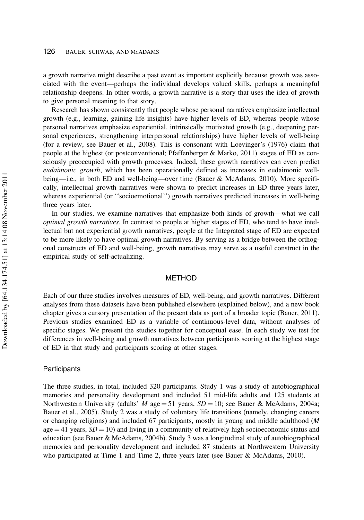a growth narrative might describe a past event as important explicitly because growth was associated with the event—perhaps the individual develops valued skills, perhaps a meaningful relationship deepens. In other words, a growth narrative is a story that uses the idea of growth to give personal meaning to that story.

Research has shown consistently that people whose personal narratives emphasize intellectual growth (e.g., learning, gaining life insights) have higher levels of ED, whereas people whose personal narratives emphasize experiential, intrinsically motivated growth (e.g., deepening personal experiences, strengthening interpersonal relationships) have higher levels of well-being (for a review, see Bauer et al., 2008). This is consonant with Loevinger's (1976) claim that people at the highest (or postconventional; Pfaffenberger & Marko, 2011) stages of ED as consciously preoccupied with growth processes. Indeed, these growth narratives can even predict eudaimonic growth, which has been operationally defined as increases in eudaimonic wellbeing—i.e., in both ED and well-being—over time (Bauer & McAdams, 2010). More specifically, intellectual growth narratives were shown to predict increases in ED three years later, whereas experiential (or "socioemotional") growth narratives predicted increases in well-being three years later.

In our studies, we examine narratives that emphasize both kinds of growth—what we call optimal growth narratives. In contrast to people at higher stages of ED, who tend to have intellectual but not experiential growth narratives, people at the Integrated stage of ED are expected to be more likely to have optimal growth narratives. By serving as a bridge between the orthogonal constructs of ED and well-being, growth narratives may serve as a useful construct in the empirical study of self-actualizing.

#### METHOD

Each of our three studies involves measures of ED, well-being, and growth narratives. Different analyses from these datasets have been published elsewhere (explained below), and a new book chapter gives a cursory presentation of the present data as part of a broader topic (Bauer, 2011). Previous studies examined ED as a variable of continuous-level data, without analyses of specific stages. We present the studies together for conceptual ease. In each study we test for differences in well-being and growth narratives between participants scoring at the highest stage of ED in that study and participants scoring at other stages.

## **Participants**

The three studies, in total, included 320 participants. Study 1 was a study of autobiographical memories and personality development and included 51 mid-life adults and 125 students at Northwestern University (adults' M age = 51 years,  $SD = 10$ ; see Bauer & McAdams, 2004a; Bauer et al., 2005). Study 2 was a study of voluntary life transitions (namely, changing careers or changing religions) and included 67 participants, mostly in young and middle adulthood (M age  $=$  41 years,  $SD = 10$ ) and living in a community of relatively high socioeconomic status and education (see Bauer & McAdams, 2004b). Study 3 was a longitudinal study of autobiographical memories and personality development and included 87 students at Northwestern University who participated at Time 1 and Time 2, three years later (see Bauer & McAdams, 2010).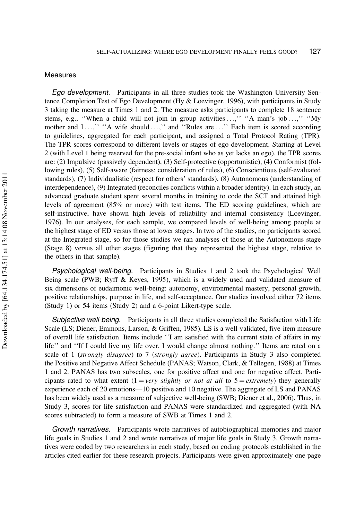#### Measures

Ego development. Participants in all three studies took the Washington University Sentence Completion Test of Ego Development (Hy & Loevinger, 1996), with participants in Study 3 taking the measure at Times 1 and 2. The measure asks participants to complete 18 sentence stems, e.g., "When a child will not join in group activities...," "A man's job...," "My mother and I...," "A wife should ...," and "Rules are ..." Each item is scored according to guidelines, aggregated for each participant, and assigned a Total Protocol Rating (TPR). The TPR scores correspond to different levels or stages of ego development. Starting at Level 2 (with Level 1 being reserved for the pre-social infant who as yet lacks an ego), the TPR scores are: (2) Impulsive (passively dependent), (3) Self-protective (opportunistic), (4) Conformist (following rules), (5) Self-aware (fairness; consideration of rules), (6) Conscientious (self-evaluated standards), (7) Individualistic (respect for others' standards), (8) Autonomous (understanding of interdependence), (9) Integrated (reconciles conflicts within a broader identity). In each study, an advanced graduate student spent several months in training to code the SCT and attained high levels of agreement (85% or more) with test items. The ED scoring guidelines, which are self-instructive, have shown high levels of reliability and internal consistency (Loevinger, 1976). In our analyses, for each sample, we compared levels of well-being among people at the highest stage of ED versus those at lower stages. In two of the studies, no participants scored at the Integrated stage, so for those studies we ran analyses of those at the Autonomous stage (Stage 8) versus all other stages (figuring that they represented the highest stage, relative to the others in that sample).

Psychological well-being. Participants in Studies 1 and 2 took the Psychological Well Being scale (PWB; Ryff & Keyes, 1995), which is a widely used and validated measure of six dimensions of eudaimonic well-being: autonomy, environmental mastery, personal growth, positive relationships, purpose in life, and self-acceptance. Our studies involved either 72 items (Study 1) or 54 items (Study 2) and a 6-point Likert-type scale.

Subjective well-being. Participants in all three studies completed the Satisfaction with Life Scale (LS; Diener, Emmons, Larson, & Griffen, 1985). LS is a well-validated, five-item measure of overall life satisfaction. Items include ''I am satisfied with the current state of affairs in my life'' and ''If I could live my life over, I would change almost nothing.'' Items are rated on a scale of 1 (strongly disagree) to 7 (strongly agree). Participants in Study 3 also completed the Positive and Negative Affect Schedule (PANAS; Watson, Clark, & Tellegen, 1988) at Times 1 and 2. PANAS has two subscales, one for positive affect and one for negative affect. Participants rated to what extent  $(1 = very \ slightly \ or \ not \ at \ all \ to \ 5 = extremely)$  they generally experience each of 20 emotions—10 positive and 10 negative. The aggregate of LS and PANAS has been widely used as a measure of subjective well-being (SWB; Diener et al., 2006). Thus, in Study 3, scores for life satisfaction and PANAS were standardized and aggregated (with NA scores subtracted) to form a measure of SWB at Times 1 and 2.

Growth narratives. Participants wrote narratives of autobiographical memories and major life goals in Studies 1 and 2 and wrote narratives of major life goals in Study 3. Growth narratives were coded by two researchers in each study, based on coding protocols established in the articles cited earlier for these research projects. Participants were given approximately one page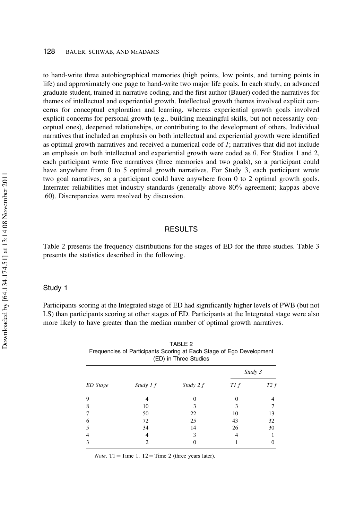to hand-write three autobiographical memories (high points, low points, and turning points in life) and approximately one page to hand-write two major life goals. In each study, an advanced graduate student, trained in narrative coding, and the first author (Bauer) coded the narratives for themes of intellectual and experiential growth. Intellectual growth themes involved explicit concerns for conceptual exploration and learning, whereas experiential growth goals involved explicit concerns for personal growth (e.g., building meaningful skills, but not necessarily conceptual ones), deepened relationships, or contributing to the development of others. Individual narratives that included an emphasis on both intellectual and experiential growth were identified as optimal growth narratives and received a numerical code of 1; narratives that did not include an emphasis on both intellectual and experiential growth were coded as 0. For Studies 1 and 2, each participant wrote five narratives (three memories and two goals), so a participant could have anywhere from 0 to 5 optimal growth narratives. For Study 3, each participant wrote two goal narratives, so a participant could have anywhere from 0 to 2 optimal growth goals. Interrater reliabilities met industry standards (generally above 80% agreement; kappas above .60). Discrepancies were resolved by discussion.

# RESULTS

Table 2 presents the frequency distributions for the stages of ED for the three studies. Table 3 presents the statistics described in the following.

#### Study 1

Participants scoring at the Integrated stage of ED had significantly higher levels of PWB (but not LS) than participants scoring at other stages of ED. Participants at the Integrated stage were also more likely to have greater than the median number of optimal growth narratives.

| Frequencies of Participants Scoring at Each Stage of Ego Development<br>(ED) in Three Studies |           |           |         |     |  |  |  |  |
|-----------------------------------------------------------------------------------------------|-----------|-----------|---------|-----|--|--|--|--|
| ED Stage                                                                                      | Study 1 f | Study 2 f | Study 3 |     |  |  |  |  |
|                                                                                               |           |           | T1f     | T2f |  |  |  |  |
| 9                                                                                             | 4         |           |         |     |  |  |  |  |
| 8                                                                                             | 10        | 3         |         |     |  |  |  |  |
|                                                                                               | 50        | 22        | 10      | 13  |  |  |  |  |
| 6                                                                                             | 72        | 25        | 43      | 32  |  |  |  |  |
| 5                                                                                             | 34        | 14        | 26      | 30  |  |  |  |  |
| 4                                                                                             | 4         | 3         | 4       |     |  |  |  |  |
| 3                                                                                             | 2         |           |         |     |  |  |  |  |

TABLE 2 Frequencies of Participants Scoring at Each Stage of Ego Development

*Note*. T1 = Time 1. T2 = Time 2 (three years later).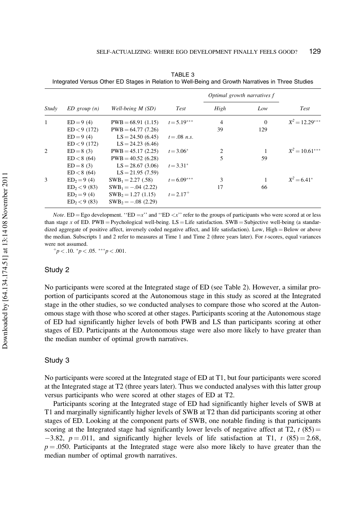| Study          | $ED$ group $(n)$ | Well-being M (SD)     |                              | Optimal growth narratives f |              |                  |
|----------------|------------------|-----------------------|------------------------------|-----------------------------|--------------|------------------|
|                |                  |                       | Test                         | High                        | Low          | Test             |
| 1              | $ED = 9(4)$      | $PWB = 68.91(1.15)$   | $t = 5.19***$                | 4                           | $\Omega$     | $X^2 = 12.29***$ |
|                | ED < 9(172)      | $PWB = 64.77(7.26)$   |                              | 39                          | 129          |                  |
|                | $ED = 9(4)$      | $LS = 24.50(6.45)$    | $t = .08$ n.s.               |                             |              |                  |
|                | ED < 9(172)      | $LS = 24.23(6.46)$    |                              |                             |              |                  |
| $\overline{2}$ | $ED = 8(3)$      | $PWB = 45.17(2.25)$   | $t = 3.06^*$<br>$t = 3.31^*$ | 2                           | $\mathbf{1}$ | $X^2 = 10.61***$ |
|                | ED < 8(64)       | $PWB = 40.52(6.28)$   |                              | 5                           | 59           |                  |
|                | $ED = 8(3)$      | $LS = 28.67(3.06)$    |                              |                             |              |                  |
|                | ED < 8(64)       | $LS = 21.95(7.59)$    |                              |                             |              |                  |
| 3              | $ED_2 = 9(4)$    | $SWB_1 = 2.27$ (.58)  | $t = 6.09***$                | 3                           |              | $X^2 = 6.41^*$   |
|                | $ED_2 < 9(83)$   | $SWB_1 = -.04$ (2.22) |                              | 17                          | 66           |                  |
|                | $ED_2 = 9(4)$    | $SWB2 = 1.27 (1.15)$  | $t = 2.17^{+}$               |                             |              |                  |
|                | $ED_2 < 9(83)$   | $SWB_2 = -.08$ (2.29) |                              |                             |              |                  |

TABLE 3 Integrated Versus Other ED Stages in Relation to Well-Being and Growth Narratives in Three Studies

*Note.* ED = Ego development. "ED =  $x$ " and "ED <  $x$ " refer to the groups of participants who were scored at or less than stage x of ED. PWB = Psychological well-being. LS = Life satisfaction. SWB = Subjective well-being (a standardized aggregate of positive affect, inversely coded negative affect, and life satisfaction). Low, High = Below or above the median. Subscripts 1 and 2 refer to measures at Time 1 and Time 2 (three years later). For t-scores, equal variances were not assumed.

 $p < 0.10$ .  $p < 0.05$ . \*\*\* $p < 0.001$ .

#### Study 2

No participants were scored at the Integrated stage of ED (see Table 2). However, a similar proportion of participants scored at the Autonomous stage in this study as scored at the Integrated stage in the other studies, so we conducted analyses to compare those who scored at the Autonomous stage with those who scored at other stages. Participants scoring at the Autonomous stage of ED had significantly higher levels of both PWB and LS than participants scoring at other stages of ED. Participants at the Autonomous stage were also more likely to have greater than the median number of optimal growth narratives.

## Study 3

No participants were scored at the Integrated stage of ED at T1, but four participants were scored at the Integrated stage at T2 (three years later). Thus we conducted analyses with this latter group versus participants who were scored at other stages of ED at T2.

Participants scoring at the Integrated stage of ED had significantly higher levels of SWB at T1 and marginally significantly higher levels of SWB at T2 than did participants scoring at other stages of ED. Looking at the component parts of SWB, one notable finding is that participants scoring at the Integrated stage had significantly lower levels of negative affect at T2,  $t(85)$  =  $-3.82$ ,  $p = .011$ , and significantly higher levels of life satisfaction at T1, t (85) = 2.68.  $p = .050$ . Participants at the Integrated stage were also more likely to have greater than the median number of optimal growth narratives.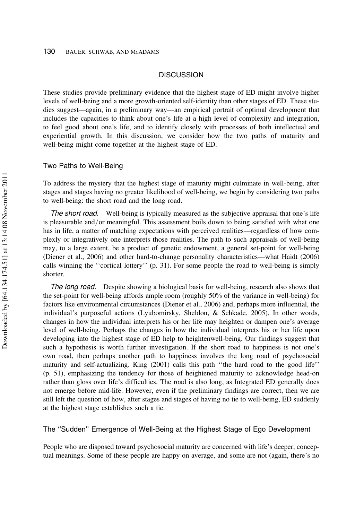# **DISCUSSION**

These studies provide preliminary evidence that the highest stage of ED might involve higher levels of well-being and a more growth-oriented self-identity than other stages of ED. These studies suggest—again, in a preliminary way—an empirical portrait of optimal development that includes the capacities to think about one's life at a high level of complexity and integration, to feel good about one's life, and to identify closely with processes of both intellectual and experiential growth. In this discussion, we consider how the two paths of maturity and well-being might come together at the highest stage of ED.

## Two Paths to Well-Being

To address the mystery that the highest stage of maturity might culminate in well-being, after stages and stages having no greater likelihood of well-being, we begin by considering two paths to well-being: the short road and the long road.

The short road. Well-being is typically measured as the subjective appraisal that one's life is pleasurable and/or meaningful. This assessment boils down to being satisfied with what one has in life, a matter of matching expectations with perceived realities—regardless of how complexly or integratively one interprets those realities. The path to such appraisals of well-being may, to a large extent, be a product of genetic endowment, a general set-point for well-being (Diener et al., 2006) and other hard-to-change personality characteristics—what Haidt (2006) calls winning the ''cortical lottery'' (p. 31). For some people the road to well-being is simply shorter.

The long road. Despite showing a biological basis for well-being, research also shows that the set-point for well-being affords ample room (roughly 50% of the variance in well-being) for factors like environmental circumstances (Diener et al., 2006) and, perhaps more influential, the individual's purposeful actions (Lyubomirsky, Sheldon, & Schkade, 2005). In other words, changes in how the individual interprets his or her life may heighten or dampen one's average level of well-being. Perhaps the changes in how the individual interprets his or her life upon developing into the highest stage of ED help to heightenwell-being. Our findings suggest that such a hypothesis is worth further investigation. If the short road to happiness is not one's own road, then perhaps another path to happiness involves the long road of psychosocial maturity and self-actualizing. King (2001) calls this path ''the hard road to the good life'' (p. 51), emphasizing the tendency for those of heightened maturity to acknowledge head-on rather than gloss over life's difficulties. The road is also long, as Integrated ED generally does not emerge before mid-life. However, even if the preliminary findings are correct, then we are still left the question of how, after stages and stages of having no tie to well-being, ED suddenly at the highest stage establishes such a tie.

## The ''Sudden'' Emergence of Well-Being at the Highest Stage of Ego Development

People who are disposed toward psychosocial maturity are concerned with life's deeper, conceptual meanings. Some of these people are happy on average, and some are not (again, there's no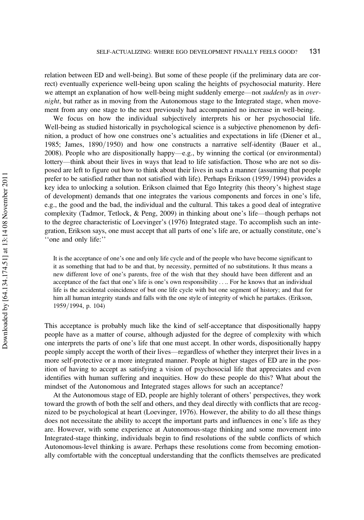relation between ED and well-being). But some of these people (if the preliminary data are correct) eventually experience well-being upon scaling the heights of psychosocial maturity. Here we attempt an explanation of how well-being might suddenly emerge—not *suddenly* as in *over*night, but rather as in moving from the Autonomous stage to the Integrated stage, when movement from any one stage to the next previously had accompanied no increase in well-being.

We focus on how the individual subjectively interprets his or her psychosocial life. Well-being as studied historically in psychological science is a subjective phenomenon by definition, a product of how one construes one's actualities and expectations in life (Diener et al., 1985; James,  $1890/1950$  and how one constructs a narrative self-identity (Bauer et al., 2008). People who are dispositionally happy—e.g., by winning the cortical (or environmental) lottery—think about their lives in ways that lead to life satisfaction. Those who are not so disposed are left to figure out how to think about their lives in such a manner (assuming that people prefer to be satisfied rather than not satisfied with life). Perhaps Erikson  $(1959/1994)$  provides a key idea to unlocking a solution. Erikson claimed that Ego Integrity (his theory's highest stage of development) demands that one integrates the various components and forces in one's life, e.g., the good and the bad, the individual and the cultural. This takes a good deal of integrative complexity (Tadmor, Tetlock, & Peng, 2009) in thinking about one's life—though perhaps not to the degree characteristic of Loevinger's (1976) Integrated stage. To accomplish such an integration, Erikson says, one must accept that all parts of one's life are, or actually constitute, one's ''one and only life:''

It is the acceptance of one's one and only life cycle and of the people who have become significant to it as something that had to be and that, by necessity, permitted of no substitutions. It thus means a new different love of one's parents, free of the wish that they should have been different and an acceptance of the fact that one's life is one's own responsibility . . .. For he knows that an individual life is the accidental coincidence of but one life cycle with but one segment of history; and that for him all human integrity stands and falls with the one style of integrity of which he partakes. (Erikson, 1959/1994, p. 104)

This acceptance is probably much like the kind of self-acceptance that dispositionally happy people have as a matter of course, although adjusted for the degree of complexity with which one interprets the parts of one's life that one must accept. In other words, dispositionally happy people simply accept the worth of their lives—regardless of whether they interpret their lives in a more self-protective or a more integrated manner. People at higher stages of ED are in the position of having to accept as satisfying a vision of psychosocial life that appreciates and even identifies with human suffering and inequities. How do these people do this? What about the mindset of the Autonomous and Integrated stages allows for such an acceptance?

At the Autonomous stage of ED, people are highly tolerant of others' perspectives, they work toward the growth of both the self and others, and they deal directly with conflicts that are recognized to be psychological at heart (Loevinger, 1976). However, the ability to do all these things does not necessitate the ability to accept the important parts and influences in one's life as they are. However, with some experience at Autonomous-stage thinking and some movement into Integrated-stage thinking, individuals begin to find resolutions of the subtle conflicts of which Autonomous-level thinking is aware. Perhaps these resolutions come from becoming emotionally comfortable with the conceptual understanding that the conflicts themselves are predicated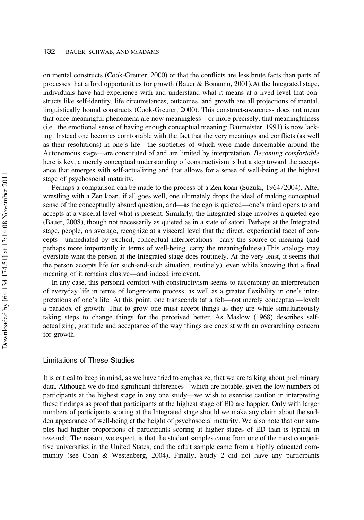on mental constructs (Cook-Greuter, 2000) or that the conflicts are less brute facts than parts of processes that afford opportunities for growth (Bauer & Bonanno, 2001).At the Integrated stage, individuals have had experience with and understand what it means at a lived level that constructs like self-identity, life circumstances, outcomes, and growth are all projections of mental, linguistically bound constructs (Cook-Greuter, 2000). This construct-awareness does not mean that once-meaningful phenomena are now meaningless—or more precisely, that meaningfulness (i.e., the emotional sense of having enough conceptual meaning; Baumeister, 1991) is now lacking. Instead one becomes comfortable with the fact that the very meanings and conflicts (as well as their resolutions) in one's life—the subtleties of which were made discernable around the Autonomous stage—are constituted of and are limited by interpretation. Becoming comfortable here is key; a merely conceptual understanding of constructivism is but a step toward the acceptance that emerges with self-actualizing and that allows for a sense of well-being at the highest stage of psychosocial maturity.

Perhaps a comparison can be made to the process of a Zen koan (Suzuki, 1964/2004). After wrestling with a Zen koan, if all goes well, one ultimately drops the ideal of making conceptual sense of the conceptually absurd question, and—as the ego is quieted—one's mind opens to and accepts at a visceral level what is present. Similarly, the Integrated stage involves a quieted ego (Bauer, 2008), though not necessarily as quieted as in a state of satori. Perhaps at the Integrated stage, people, on average, recognize at a visceral level that the direct, experiential facet of concepts—unmediated by explicit, conceptual interpretations—carry the source of meaning (and perhaps more importantly in terms of well-being, carry the meaningfulness).This analogy may overstate what the person at the Integrated stage does routinely. At the very least, it seems that the person accepts life (or such-and-such situation, routinely), even while knowing that a final meaning of it remains elusive—and indeed irrelevant.

In any case, this personal comfort with constructivism seems to accompany an interpretation of everyday life in terms of longer-term process, as well as a greater flexibility in one's interpretations of one's life. At this point, one transcends (at a felt—not merely conceptual—level) a paradox of growth: That to grow one must accept things as they are while simultaneously taking steps to change things for the perceived better. As Maslow (1968) describes selfactualizing, gratitude and acceptance of the way things are coexist with an overarching concern for growth.

#### Limitations of These Studies

It is critical to keep in mind, as we have tried to emphasize, that we are talking about preliminary data. Although we do find significant differences—which are notable, given the low numbers of participants at the highest stage in any one study—we wish to exercise caution in interpreting these findings as proof that participants at the highest stage of ED are happier. Only with larger numbers of participants scoring at the Integrated stage should we make any claim about the sudden appearance of well-being at the height of psychosocial maturity. We also note that our samples had higher proportions of participants scoring at higher stages of ED than is typical in research. The reason, we expect, is that the student samples came from one of the most competitive universities in the United States, and the adult sample came from a highly educated community (see Cohn & Westenberg, 2004). Finally, Study 2 did not have any participants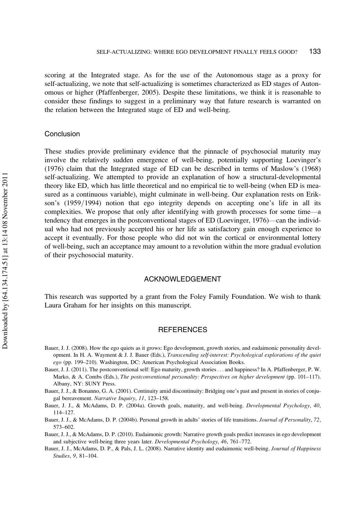scoring at the Integrated stage. As for the use of the Autonomous stage as a proxy for self-actualizing, we note that self-actualizing is sometimes characterized as ED stages of Autonomous or higher (Pfaffenberger, 2005). Despite these limitations, we think it is reasonable to consider these findings to suggest in a preliminary way that future research is warranted on the relation between the Integrated stage of ED and well-being.

## Conclusion

These studies provide preliminary evidence that the pinnacle of psychosocial maturity may involve the relatively sudden emergence of well-being, potentially supporting Loevinger's (1976) claim that the Integrated stage of ED can be described in terms of Maslow's (1968) self-actualizing. We attempted to provide an explanation of how a structural-developmental theory like ED, which has little theoretical and no empirical tie to well-being (when ED is measured as a continuous variable), might culminate in well-being. Our explanation rests on Erikson's  $(1959/1994)$  notion that ego integrity depends on accepting one's life in all its complexities. We propose that only after identifying with growth processes for some time—a tendency that emerges in the postconventional stages of ED (Loevinger, 1976)—can the individual who had not previously accepted his or her life as satisfactory gain enough experience to accept it eventually. For those people who did not win the cortical or environmental lottery of well-being, such an acceptance may amount to a revolution within the more gradual evolution of their psychosocial maturity.

# ACKNOWLEDGEMENT

This research was supported by a grant from the Foley Family Foundation. We wish to thank Laura Graham for her insights on this manuscript.

## **REFERENCES**

- Bauer, J. J. (2008). How the ego quiets as it grows: Ego development, growth stories, and eudaimonic personality development. In H. A. Wayment & J. J. Bauer (Eds.), Transcending self-interest: Psychological explorations of the quiet ego (pp. 199–210). Washington, DC: American Psychological Association Books.
- Bauer, J. J. (2011). The postconventional self: Ego maturity, growth stories... and happiness? In A. Pfaffenberger, P. W. Marko, & A. Combs (Eds.), *The postconventional personality: Perspectives on higher development* (pp. 101–117). Albany, NY: SUNY Press.

Bauer, J. J., & Bonanno, G. A. (2001). Continuity amid discontinuity: Bridging one's past and present in stories of conjugal bereavement. Narrative Inquiry, 11, 123–158.

- Bauer, J. J., & McAdams, D. P. (2004a). Growth goals, maturity, and well-being. Developmental Psychology, 40, 114–127.
- Bauer, J. J., & McAdams, D. P. (2004b). Personal growth in adults' stories of life transitions. Journal of Personality, 72, 573–602.
- Bauer, J. J., & McAdams, D. P. (2010). Eudaimonic growth: Narrative growth goals predict increases in ego development and subjective well-being three years later. Developmental Psychology, 46, 761–772.
- Bauer, J. J., McAdams, D. P., & Pals, J. L. (2008). Narrative identity and eudaimonic well-being. Journal of Happiness Studies, 9, 81–104.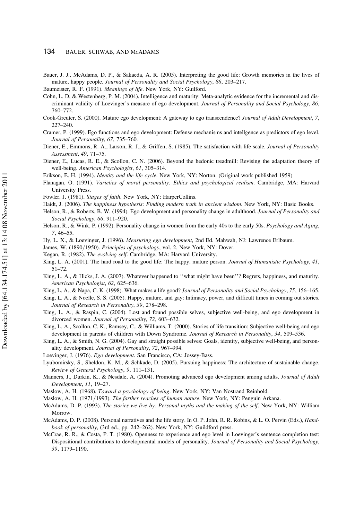Bauer, J. J., McAdams, D. P., & Sakaeda, A. R. (2005). Interpreting the good life: Growth memories in the lives of mature, happy people. Journal of Personality and Social Psychology, 88, 203–217.

Baumeister, R. F. (1991). Meanings of life. New York, NY: Guilford.

- Cohn, L. D, & Westenberg, P. M. (2004). Intelligence and maturity: Meta-analytic evidence for the incremental and discriminant validity of Loevinger's measure of ego development. Journal of Personality and Social Psychology, 86, 760–772.
- Cook-Greuter, S. (2000). Mature ego development: A gateway to ego transcendence? Journal of Adult Development, 7, 227–240.
- Cramer, P. (1999). Ego functions and ego development: Defense mechanisms and intellgence as predictors of ego level. Journal of Personality, 67, 735–760.
- Diener, E., Emmons, R. A., Larson, R. J., & Griffen, S. (1985). The satisfaction with life scale. Journal of Personality Assessment, 49, 71–75.
- Diener, E., Lucas, R. E., & Scollon, C. N. (2006). Beyond the hedonic treadmill: Revising the adaptation theory of well-being. American Psychologist, 61, 305–314.
- Erikson, E. H. (1994). Identity and the life cycle. New York, NY: Norton. (Original work published 1959)
- Flanagan, O. (1991). Varieties of moral personality: Ethics and psychological realism. Cambridge, MA: Harvard University Press.
- Fowler, J. (1981). Stages of faith. New York, NY: HarperCollins.
- Haidt, J. (2006). The happiness hypothesis: Finding modern truth in ancient wisdom. New York, NY: Basic Books.
- Helson, R., & Roberts, B. W. (1994). Ego development and personality change in adulthood. Journal of Personality and Social Psychology, 66, 911–920.
- Helson, R., & Wink, P. (1992). Personality change in women from the early 40s to the early 50s. Psychology and Aging, 7, 46–55.
- Hy, L. X., & Loevinger, J. (1996). Measuring ego development, 2nd Ed. Mahwah, NJ: Lawrence Erlbaum.
- James, W. (1890/1950). Principles of psychology, vol. 2. New York, NY: Dover.
- Kegan, R. (1982). The evolving self. Cambridge, MA: Harvard University.
- King, L. A. (2001). The hard road to the good life: The happy, mature person. Journal of Humanistic Psychology, 41, 51–72.
- King, L. A., & Hicks, J. A. (2007). Whatever happened to ''what might have been''? Regrets, happiness, and maturity. American Psychologist, 62, 625–636.
- King, L. A., & Napa, C. K. (1998). What makes a life good? Journal of Personality and Social Psychology, 75, 156–165.
- King, L. A., & Noelle, S. S. (2005). Happy, mature, and gay: Intimacy, power, and difficult times in coming out stories. Journal of Research in Personality, 39, 278–298.
- King, L. A., & Raspin, C. (2004). Lost and found possible selves, subjective well-being, and ego development in divorced women. Journal of Personality, 72, 603–632.
- King, L. A., Scollon, C. K., Ramsey, C., & Williams, T. (2000). Stories of life transition: Subjective well-being and ego development in parents of children with Down Syndrome. Journal of Research in Personality, 34, 509–536.
- King, L. A., & Smith, N. G. (2004). Gay and straight possible selves: Goals, identity, subjective well-being, and personality development. Journal of Personality, 72, 967–994.
- Loevinger, J. (1976). Ego development. San Francisco, CA: Jossey-Bass.
- Lyubomirsky, S., Sheldon, K. M., & Schkade, D. (2005). Pursuing happiness: The architecture of sustainable change. Review of General Psychology, 9, 111–131.
- Manners, J., Durkin, K., & Nesdale, A. (2004). Promoting advanced ego development among adults. Journal of Adult Development, 11, 19–27.
- Maslow, A. H. (1968). Toward a psychology of being. New York, NY: Van Nostrand Reinhold.
- Maslow, A. H. (1971/1993). The farther reaches of human nature. New York, NY: Penguin Arkana.
- McAdams, D. P. (1993). The stories we live by: Personal myths and the making of the self. New York, NY: William Morrow.
- McAdams, D. P. (2008). Personal narratives and the life story. In O. P. John, R. R. Robins, & L. O. Pervin (Eds.), Handbook of personality, (3rd ed., pp. 242–262). New York, NY: Guildford press.
- McCrae, R. R., & Costa, P. T. (1980). Openness to experience and ego level in Loevinger's sentence completion test: Dispositional contributions to developmental models of personality. Journal of Personality and Social Psychology, 39, 1179–1190.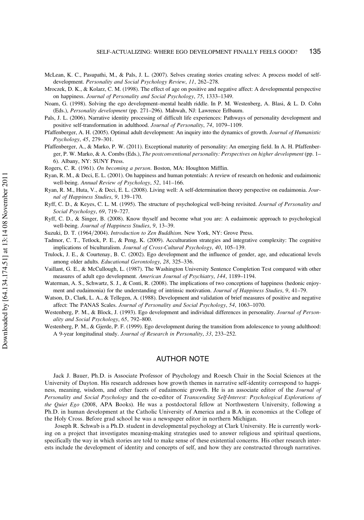- McLean, K. C., Pasupathi, M., & Pals, J. L. (2007). Selves creating stories creating selves: A process model of selfdevelopment. Personality and Social Psychology Review, 11, 262–278.
- Mroczek, D. K., & Kolarz, C. M. (1998). The effect of age on positive and negative affect: A developmental perspective on happiness. Journal of Personality and Social Psychology, 75, 1333–1349.
- Noam, G. (1998). Solving the ego development–mental health riddle. In P. M. Westenberg, A. Blasi, & L. D. Cohn (Eds.), Personality development (pp. 271–296). Mahwah, NJ: Lawrence Erlbaum.
- Pals, J. L. (2006). Narrative identity processing of difficult life experiences: Pathways of personality development and positive self-transformation in adulthood. Journal of Personality, 74, 1079–1109.
- Pfaffenberger, A. H. (2005). Optimal adult development: An inquiry into the dynamics of growth. Journal of Humanistic Psychology, 45, 279–301.
- Pfaffenberger, A., & Marko, P. W. (2011). Exceptional maturity of personality: An emerging field. In A. H. Pfaffenberger, P. W. Marko, & A. Combs (Eds.), The postconventional personality: Perspectives on higher development (pp. 1– 6). Albany, NY: SUNY Press.
- Rogers, C. R. (1961). On becoming a person. Boston, MA: Houghton Mifflin.
- Ryan, R. M., & Deci, E. L. (2001). On happiness and human potentials: A review of research on hedonic and eudaimonic well-being. Annual Review of Psychology, 52, 141–166.
- Ryan, R. M., Huta, V., & Deci, E. L. (2008). Living well: A self-determination theory perspective on eudaimonia. Journal of Happiness Studies, 9, 139–170.
- Ryff, C. D., & Keyes, C. L. M. (1995). The structure of psychological well-being revisited. Journal of Personality and Social Psychology, 69, 719–727.
- Ryff, C. D., & Singer, B. (2008). Know thyself and become what you are: A eudaimonic approach to psychological well-being. Journal of Happiness Studies, 9, 13–39.
- Suzuki, D. T. (1964/2004). Introduction to Zen Buddhism. New York, NY: Grove Press.
- Tadmor, C. T., Tetlock, P. E., & Peng, K. (2009). Acculturation strategies and integrative complexity: The cognitive implications of biculturalism. Journal of Cross-Cultural Psychology, 40, 105–139.
- Trulock, J. E., & Courtenay, B. C. (2002). Ego development and the influence of gender, age, and educational levels among older adults. Educational Gerontology, 28, 325–336.
- Vaillant, G. E., & McCullough, L. (1987). The Washington University Sentence Completion Test compared with other measures of adult ego development. American Journal of Psychiatry, 144, 1189–1194.
- Waterman, A. S., Schwartz, S. J., & Conti, R. (2008). The implications of two conceptions of happiness (hedonic enjoyment and eudaimonia) for the understanding of intrinsic motivation. Journal of Happiness Studies, 9, 41–79.
- Watson, D., Clark, L. A., & Tellegen, A. (1988). Development and validation of brief measures of positive and negative affect: The PANAS Scales. Journal of Personality and Social Psychology, 54, 1063–1070.
- Westenberg, P. M., & Block, J. (1993). Ego development and individual differences in personality. Journal of Personality and Social Psychology, 65, 792–800.
- Westenberg, P. M., & Gjerde, P. F. (1999). Ego development during the transition from adolescence to young adulthood: A 9-year longitudinal study. Journal of Research in Personality, 33, 233–252.

# AUTHOR NOTE

Jack J. Bauer, Ph.D. is Associate Professor of Psychology and Roesch Chair in the Social Sciences at the University of Dayton. His research addresses how growth themes in narrative self-identity correspond to happiness, meaning, wisdom, and other facets of eudaimonic growth. He is an associate editor of the *Journal of* Personality and Social Psychology and the co-editor of Transcending Self-Interest: Psychological Explorations of the Quiet Ego (2008, APA Books). He was a postdoctoral fellow at Northwestern University, following a Ph.D. in human development at the Catholic University of America and a B.A. in economics at the College of the Holy Cross. Before grad school he was a newspaper editor in northern Michigan.

Joseph R. Schwab is a Ph.D. student in developmental psychology at Clark University. He is currently working on a project that investigates meaning-making strategies used to answer religious and spiritual questions, specifically the way in which stories are told to make sense of these existential concerns. His other research interests include the development of identity and concepts of self, and how they are constructed through narratives.